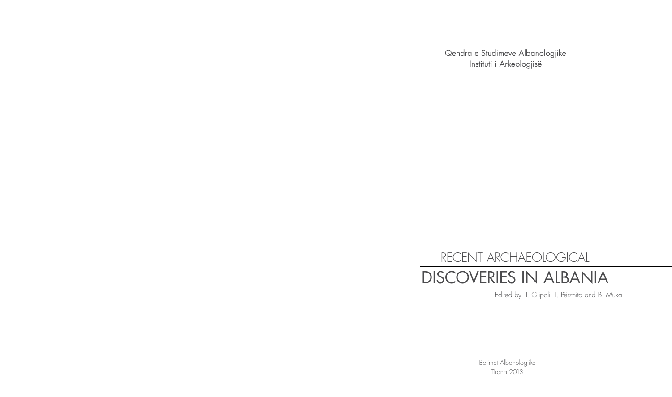Qendra e Studimeve Albanologjike Instituti i Arkeologjisë

## RECENT ARCHAEOLOGICAL DISCOVERIES IN ALBANIA

Edited by I. Gjipali, L. Përzhita and B. Muka

Botimet Albanologjike Tirana 2013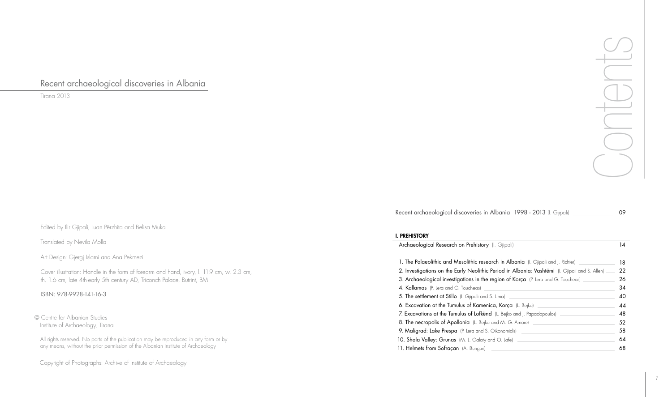Recent archaeological discoveries in Albania

Tirana 2013

Edited by Ilir Gjipali, Luan Përzhita and Belisa Muka

## I. PREHISTORY

Archaeological Research on Prehistor 1. The Palaeolithic and Mesolithic res 2. Investigations on the Early Neolithi 3. Archaeological investigations in th 4. Kallamas (P. Lera and G. Toucheas) 5. The settlement at Stillo (I. Gjipali and 6. Excavation at the Tumulus of Kame 7. Excavations at the Tumulus of Lofke 8. The necropolis of Apollonia (L. Bej 9. Maligrad: Lake Prespa (P. Lera and 10. Shala Valley: Grunas (M. L. Galaty 11. Helmets from Sofraçan (A. Bunguri)

All rights reserved. No parts of the publication may be reproduced in any form or by any means, without the prior permission of the Albanian Institute of Archaeology

Translated by Nevila Molla

Art Design: Gjergj Islami and Ana Pekmezi

Cover illustration: Handle in the form of forearm and hand, ivory, l. 11.9 cm, w. 2.3 cm, th. 1.6 cm, late 4th-early 5th century AD, Triconch Palace, Butrint, BM

© Centre for Albanian Studies Institute of Archaeology, Tirana

Copyright of Photographs: Archive of Institute of Archaeology

Recent archaeological discoveries

ISBN: 978-9928-141-16-3



| i <b>n Albania 1998 - 2013</b> (I. Gjipali) | 09 |
|---------------------------------------------|----|
|                                             |    |

| ry (I. Gjipali)                                                       | 14 |  |
|-----------------------------------------------------------------------|----|--|
| s <b>earch in Albania</b> (I. Gjipali and J. Richter) _______________ | 18 |  |
| ic Period in Albania: Vashtëmi (I. Gjipali and S. Allen) ___          |    |  |
| <b>ie region of Korça</b> (P. Lera and G. Toucheas) ______________    |    |  |
|                                                                       | 34 |  |
| nd S. Lima) <u>__________________________________</u>                 | 40 |  |
| <b>enica, Korça</b> (L. Bejko) _______________________________        | 44 |  |
| <b>end</b> (L. Bejko and J. Papadopoulos) __________________________  | 48 |  |
|                                                                       | 52 |  |
| S. Oikonomidis) <u>S. Oikonomidis</u>                                 | 58 |  |
|                                                                       | 64 |  |
|                                                                       | 68 |  |
|                                                                       |    |  |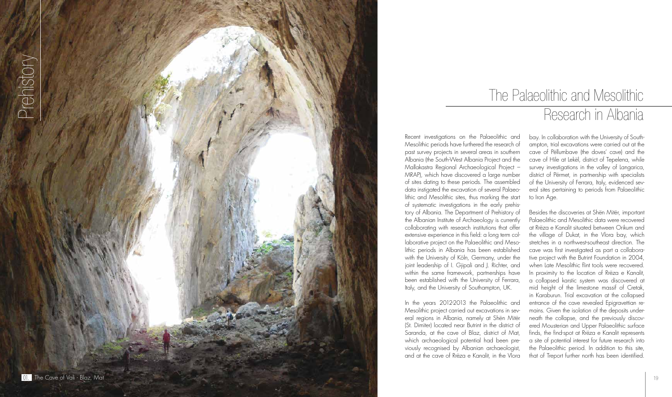## The Palaeolithic and Mesolithic Research in Albania

Recent investigations on the Palaeolithic and Mesolithic periods have furthered the research of past survey projects in several areas in southern Albania (the South-West Albania Project and the Mallakastra Regional Archaeological Project – MRAP), which have discovered a large number of sites dating to these periods. The assembled data instigated the excavation of several Palaeo lithic and Mesolithic sites, thus marking the start of systematic investigations in the early prehis tory of Albania. The Department of Prehistory of the Albanian Institute of Archaeology is currently collaborating with research institutions that offer extensive experience in this field: a long term col laborative project on the Palaeolithic and Meso lithic periods in Albania has been established with the University of Köln, Germany, under the joint leadership of I. Gjipali and J. Richter, and within the same framework, partnerships have been established with the University of Ferrara, Italy, and the University of Southampton, UK.

In the years 2012-2013 the Palaeolithic and Mesolithic project carried out excavations in sev eral regions in Albania, namely at Shën Mitër (St. Dimiter) located near Butrint in the district of Saranda, at the cave of Blaz, district of Mat, which archaeological potential had been pre viously recognised by Albanian archaeologist, and at the cave of Rrëza e Kanalit, in the Vlora bay. In collaboration with the University of South ampton, trial excavations were carried out at the cave of Pëllumbave (the doves' cave) and the cave of Hile at Lekël, district of Tepelena, while survey investigations in the valley of Langarica, district of Përmet, in partnership with specialists of the University of Ferrara, Italy, evidenced sev eral sites pertaining to periods from Palaeolithic to Iron Age.

Besides the discoveries at Shën Mitër, important Palaeolithic and Mesolithic data were recovered at Rrëza e Kanalit situated between Orikum and the village of Dukat, in the Vlora bay, which stretches in a northwest-southeast direction. The cave was first investigated as part a collabora tive project with the Butrint Foundation in 2004, when Late Mesolithic flint tools were recovered. In proximity to the location of Rrëza e Kanalit, a collapsed karstic system was discovered at mid height of the limestone massif of Cretak, in Karaburun. Trial excavation at the collapsed entrance of the cave revealed Epigravettian re mains. Given the isolation of the deposits underneath the collapse, and the previously discovered Mousterian and Upper Palaeolithic surface finds, the find-spot at Rrëza e Kanalit represents a site of potential interest for future research into the Palaeolithic period. In addition to this site, that of Treport further north has been identified.